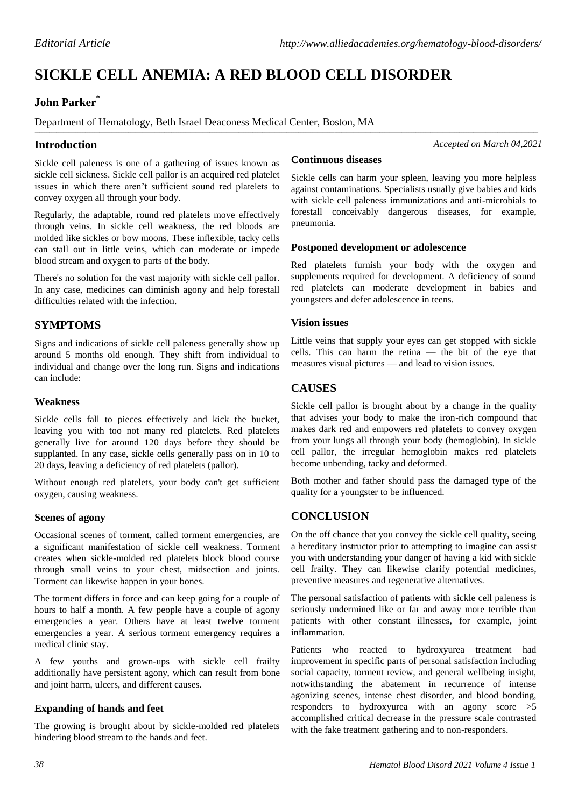# **SICKLE CELL ANEMIA: A RED BLOOD CELL DISORDER**

\_\_\_\_\_\_\_\_\_\_\_\_\_\_\_\_\_\_\_\_\_\_\_\_\_\_\_\_\_\_\_\_\_\_\_\_\_\_\_\_\_\_\_\_\_\_\_\_\_\_\_\_\_\_\_\_\_\_\_\_\_\_\_\_\_\_\_\_\_\_\_\_\_\_\_\_\_\_\_\_\_\_\_\_\_\_\_\_\_\_\_\_\_\_\_\_\_\_\_\_\_\_\_\_\_\_\_\_\_\_\_\_\_\_\_\_\_\_\_\_\_\_\_\_\_\_\_\_\_\_\_\_\_\_\_\_\_\_\_\_\_\_\_\_\_\_\_\_\_\_\_\_\_\_\_\_\_\_\_\_\_\_\_\_\_\_\_\_\_\_\_\_\_\_\_\_\_\_\_\_\_\_\_\_\_\_\_\_\_\_\_\_\_\_\_\_\_\_\_\_\_\_\_\_\_\_\_\_\_\_

# **John Parker\***

Department of Hematology, Beth Israel Deaconess Medical Center, Boston, MA

## **Introduction**

*Accepted on March 04,2021*

Sickle cell paleness is one of a gathering of issues known as sickle cell sickness. Sickle cell pallor is an acquired red platelet issues in which there aren't sufficient sound red platelets to convey oxygen all through your body.

Regularly, the adaptable, round red platelets move effectively through veins. In sickle cell weakness, the red bloods are molded like sickles or bow moons. These inflexible, tacky cells can stall out in little veins, which can moderate or impede blood stream and oxygen to parts of the body.

There's no solution for the vast majority with sickle cell pallor. In any case, medicines can diminish agony and help forestall difficulties related with the infection.

# **SYMPTOMS**

Signs and indications of sickle cell paleness generally show up around 5 months old enough. They shift from individual to individual and change over the long run. Signs and indications can include:

#### **Weakness**

Sickle cells fall to pieces effectively and kick the bucket, leaving you with too not many red platelets. Red platelets generally live for around 120 days before they should be supplanted. In any case, sickle cells generally pass on in 10 to 20 days, leaving a deficiency of red platelets (pallor).

Without enough red platelets, your body can't get sufficient oxygen, causing weakness.

#### **Scenes of agony**

Occasional scenes of torment, called torment emergencies, are a significant manifestation of sickle cell weakness. Torment creates when sickle-molded red platelets block blood course through small veins to your chest, midsection and joints. Torment can likewise happen in your bones.

The torment differs in force and can keep going for a couple of hours to half a month. A few people have a couple of agony emergencies a year. Others have at least twelve torment emergencies a year. A serious torment emergency requires a medical clinic stay.

A few youths and grown-ups with sickle cell frailty additionally have persistent agony, which can result from bone and joint harm, ulcers, and different causes.

## **Expanding of hands and feet**

The growing is brought about by sickle-molded red platelets hindering blood stream to the hands and feet.

#### **Continuous diseases**

Sickle cells can harm your spleen, leaving you more helpless against contaminations. Specialists usually give babies and kids with sickle cell paleness immunizations and anti-microbials to forestall conceivably dangerous diseases, for example, pneumonia.

#### **Postponed development or adolescence**

Red platelets furnish your body with the oxygen and supplements required for development. A deficiency of sound red platelets can moderate development in babies and youngsters and defer adolescence in teens.

#### **Vision issues**

Little veins that supply your eyes can get stopped with sickle cells. This can harm the retina — the bit of the eye that measures visual pictures — and lead to vision issues.

# **CAUSES**

Sickle cell pallor is brought about by a change in the quality that advises your body to make the iron-rich compound that makes dark red and empowers red platelets to convey oxygen from your lungs all through your body (hemoglobin). In sickle cell pallor, the irregular hemoglobin makes red platelets become unbending, tacky and deformed.

Both mother and father should pass the damaged type of the quality for a youngster to be influenced.

## **CONCLUSION**

On the off chance that you convey the sickle cell quality, seeing a hereditary instructor prior to attempting to imagine can assist you with understanding your danger of having a kid with sickle cell frailty. They can likewise clarify potential medicines, preventive measures and regenerative alternatives.

The personal satisfaction of patients with sickle cell paleness is seriously undermined like or far and away more terrible than patients with other constant illnesses, for example, joint inflammation.

Patients who reacted to hydroxyurea treatment had improvement in specific parts of personal satisfaction including social capacity, torment review, and general wellbeing insight, notwithstanding the abatement in recurrence of intense agonizing scenes, intense chest disorder, and blood bonding, responders to hydroxyurea with an agony score >5 accomplished critical decrease in the pressure scale contrasted with the fake treatment gathering and to non-responders.